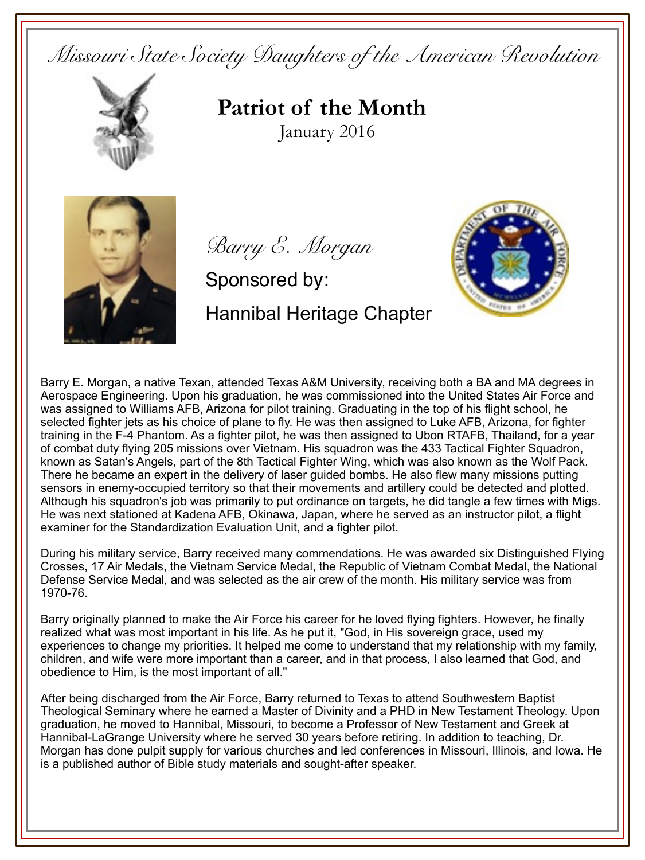*Missouri State Society Daughters of the American Revolution*



**Patriot of the Month** January 2016



*Barry E. Morgan* 

Sponsored by: Hannibal Heritage Chapter



Barry E. Morgan, a native Texan, attended Texas A&M University, receiving both a BA and MA degrees in Aerospace Engineering. Upon his graduation, he was commissioned into the United States Air Force and was assigned to Williams AFB, Arizona for pilot training. Graduating in the top of his flight school, he selected fighter jets as his choice of plane to fly. He was then assigned to Luke AFB, Arizona, for fighter training in the F-4 Phantom. As a fighter pilot, he was then assigned to Ubon RTAFB, Thailand, for a year of combat duty flying 205 missions over Vietnam. His squadron was the 433 Tactical Fighter Squadron, known as Satan's Angels, part of the 8th Tactical Fighter Wing, which was also known as the Wolf Pack. There he became an expert in the delivery of laser guided bombs. He also flew many missions putting sensors in enemy-occupied territory so that their movements and artillery could be detected and plotted. Although his squadron's job was primarily to put ordinance on targets, he did tangle a few times with Migs. He was next stationed at Kadena AFB, Okinawa, Japan, where he served as an instructor pilot, a flight examiner for the Standardization Evaluation Unit, and a fighter pilot.

During his military service, Barry received many commendations. He was awarded six Distinguished Flying Crosses, 17 Air Medals, the Vietnam Service Medal, the Republic of Vietnam Combat Medal, the National Defense Service Medal, and was selected as the air crew of the month. His military service was from 1970-76.

Barry originally planned to make the Air Force his career for he loved flying fighters. However, he finally realized what was most important in his life. As he put it, "God, in His sovereign grace, used my experiences to change my priorities. It helped me come to understand that my relationship with my family, children, and wife were more important than a career, and in that process, I also learned that God, and obedience to Him, is the most important of all."

After being discharged from the Air Force, Barry returned to Texas to attend Southwestern Baptist Theological Seminary where he earned a Master of Divinity and a PHD in New Testament Theology. Upon graduation, he moved to Hannibal, Missouri, to become a Professor of New Testament and Greek at Hannibal-LaGrange University where he served 30 years before retiring. In addition to teaching, Dr. Morgan has done pulpit supply for various churches and led conferences in Missouri, Illinois, and Iowa. He is a published author of Bible study materials and sought-after speaker.